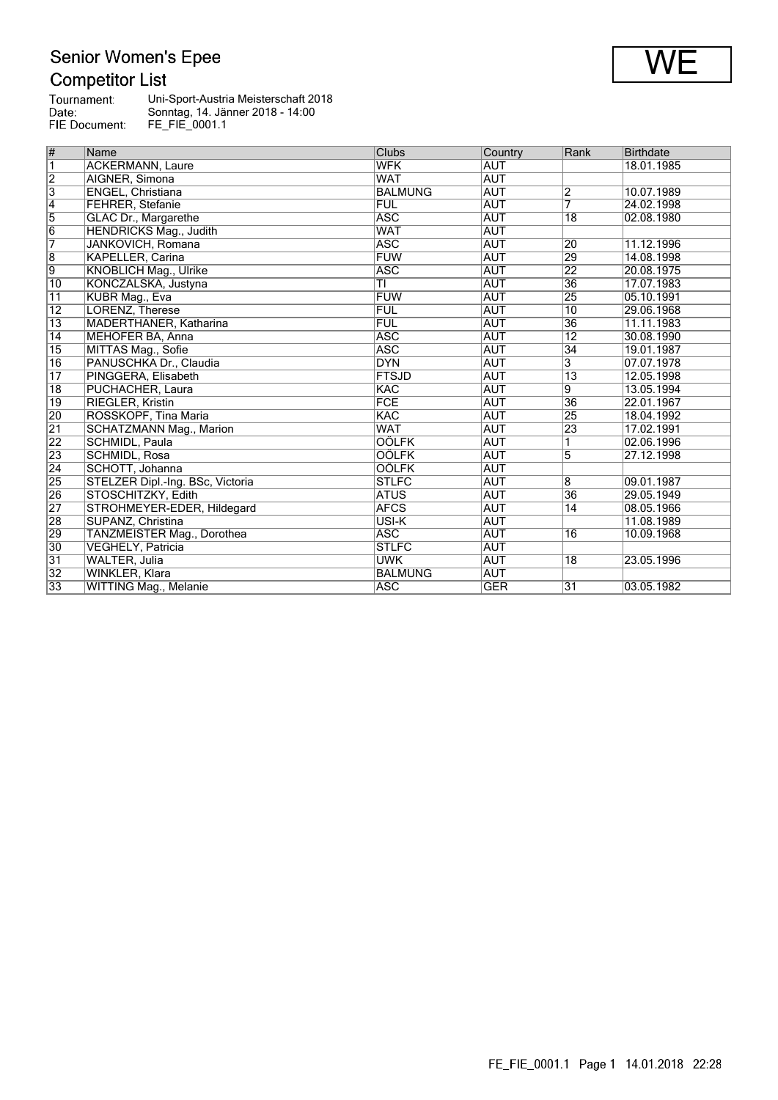## Senior Women's Epee<br>Competitor List

| Tournament:   | Uni-Sport-Austria Meisterschaft 2018 |
|---------------|--------------------------------------|
| Date:         | Sonntag, 14. Jänner 2018 - 14:00     |
| FIE Document: | FE FIE 0001.1                        |

| #               | <b>Name</b>                      | Clubs          | Country    | Rank            | <b>Birthdate</b> |
|-----------------|----------------------------------|----------------|------------|-----------------|------------------|
| $\overline{1}$  | <b>ACKERMANN, Laure</b>          | <b>WFK</b>     | <b>AUT</b> |                 | 18.01.1985       |
| $\overline{2}$  | AIGNER, Simona                   | <b>WAT</b>     | <b>AUT</b> |                 |                  |
| $\overline{3}$  | ENGEL, Christiana                | <b>BALMUNG</b> | <b>AUT</b> | $\overline{2}$  | 10.07.1989       |
| $\vert 4$       | FEHRER, Stefanie                 | <b>FUL</b>     | <b>AUT</b> | $\overline{7}$  | 24.02.1998       |
| $\overline{5}$  | GLAC Dr., Margarethe             | <b>ASC</b>     | <b>AUT</b> | 18              | 02.08.1980       |
| $\overline{6}$  | HENDRICKS Mag., Judith           | <b>WAT</b>     | <b>AUT</b> |                 |                  |
| 7               | JANKOVICH, Romana                | <b>ASC</b>     | AUT        | $\overline{20}$ | 11.12.1996       |
| $\overline{8}$  | <b>KAPELLER, Carina</b>          | <b>FUW</b>     | <b>AUT</b> | 29              | 14.08.1998       |
| $\overline{9}$  | KNOBLICH Mag., Ulrike            | <b>ASC</b>     | <b>AUT</b> | $\overline{22}$ | 20.08.1975       |
| $\overline{10}$ | KONCZALSKA, Justyna              | TI             | <b>AUT</b> | $\overline{36}$ | 17.07.1983       |
| 11              | KUBR Mag., Eva                   | <b>FUW</b>     | <b>AUT</b> | $\overline{25}$ | 05.10.1991       |
| $ 12\rangle$    | LORENZ, Therese                  | FUL            | <b>AUT</b> | 10              | 29.06.1968       |
| $\overline{13}$ | MADERTHANER, Katharina           | FUL            | <b>AUT</b> | 36              | 11.11.1983       |
| 14              | <b>MEHOFER BA, Anna</b>          | <b>ASC</b>     | <b>AUT</b> | 12              | 30.08.1990       |
| $\overline{15}$ | MITTAS Mag., Sofie               | <b>ASC</b>     | <b>AUT</b> | 34              | 19.01.1987       |
| 16              | PANUSCHKA Dr., Claudia           | <b>DYN</b>     | <b>AUT</b> | 3               | 07.07.1978       |
| $\overline{17}$ | PINGGERA, Elisabeth              | <b>FTSJD</b>   | <b>AUT</b> | $\overline{13}$ | 12.05.1998       |
| $\overline{18}$ | PUCHACHER, Laura                 | <b>KAC</b>     | <b>AUT</b> | 9               | 13.05.1994       |
| $\overline{19}$ | RIEGLER, Kristin                 | <b>FCE</b>     | <b>AUT</b> | $\overline{36}$ | 22.01.1967       |
| 20              | ROSSKOPF, Tina Maria             | <b>KAC</b>     | <b>AUT</b> | 25              | 18.04.1992       |
| $\overline{21}$ | <b>SCHATZMANN Mag., Marion</b>   | <b>WAT</b>     | <b>AUT</b> | $\overline{23}$ | 17.02.1991       |
| $\overline{22}$ | SCHMIDL, Paula                   | <b>OÖLFK</b>   | <b>AUT</b> |                 | 02.06.1996       |
| 23              | SCHMIDL, Rosa                    | <b>OÖLFK</b>   | <b>AUT</b> | 5               | 27.12.1998       |
| $\overline{24}$ | SCHOTT, Johanna                  | <b>OÖLFK</b>   | <b>AUT</b> |                 |                  |
| 25              | STELZER Dipl.-Ing. BSc, Victoria | <b>STLFC</b>   | <b>AUT</b> | $\overline{8}$  | 09.01.1987       |
| 26              | STOSCHITZKY, Edith               | ATUS           | <b>AUT</b> | $\overline{36}$ | 29.05.1949       |
| $\overline{27}$ | STROHMEYER-EDER, Hildegard       | <b>AFCS</b>    | <b>AUT</b> | 14              | 08.05.1966       |
| $\overline{28}$ | SUPANZ, Christina                | USI-K          | <b>AUT</b> |                 | 11.08.1989       |
| 29              | TANZMEISTER Mag., Dorothea       | <b>ASC</b>     | <b>AUT</b> | 16              | 10.09.1968       |
| 30              | VEGHELY, Patricia                | <b>STLFC</b>   | <b>AUT</b> |                 |                  |
| $\overline{31}$ | WALTER, Julia                    | <b>UWK</b>     | <b>AUT</b> | 18              | 23.05.1996       |
| $\overline{32}$ | WINKLER, Klara                   | BALMUNG        | <b>AUT</b> |                 |                  |
| 33              | <b>WITTING Mag., Melanie</b>     | <b>ASC</b>     | <b>GER</b> | $\overline{31}$ | 03.05.1982       |

**WE**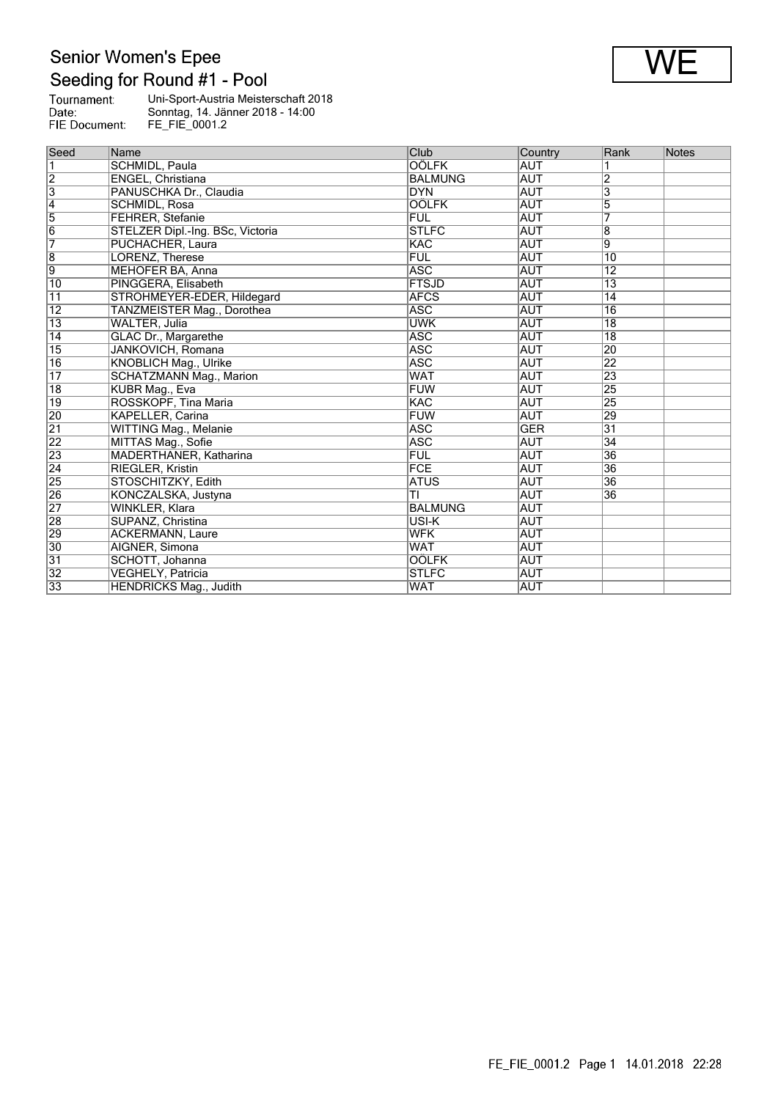Senior Women's Epee<br>Seeding for Round #1 - Pool

| Tournament:   | Uni-Sport-Austria Meisterschaft 2018 |
|---------------|--------------------------------------|
| Date:         | Sonntag, 14. Jänner 2018 - 14:00     |
| FIE Document: | FE FIE 0001.2                        |

| Seed                    | Name                             | Club           | Country    | Rank            | Notes |
|-------------------------|----------------------------------|----------------|------------|-----------------|-------|
| $\overline{\mathbf{1}}$ | SCHMIDL, Paula                   | <b>OÖLFK</b>   | <b>AUT</b> |                 |       |
| $\overline{2}$          | ENGEL, Christiana                | <b>BALMUNG</b> | <b>AUT</b> | 2               |       |
| $\overline{3}$          | PANUSCHKA Dr., Claudia           | <b>DYN</b>     | <b>AUT</b> | 3               |       |
| $\overline{4}$          | SCHMIDL, Rosa                    | <b>OÖLFK</b>   | <b>AUT</b> | 5               |       |
| $\overline{5}$          | <b>FEHRER, Stefanie</b>          | <b>FUL</b>     | <b>AUT</b> |                 |       |
| $\overline{6}$          | STELZER Dipl.-Ing. BSc, Victoria | <b>STLFC</b>   | <b>AUT</b> | 8               |       |
| 7                       | PUCHACHER, Laura                 | KAC            | AUT        | $\overline{9}$  |       |
| $\overline{8}$          | LORENZ, Therese                  | <b>FUL</b>     | <b>AUT</b> | $\overline{10}$ |       |
| 9                       | MEHOFER BA, Anna                 | <b>ASC</b>     | <b>AUT</b> | $\overline{12}$ |       |
| 10                      | PINGGERA, Elisabeth              | <b>FTSJD</b>   | <b>AUT</b> | $\overline{13}$ |       |
| 11                      | STROHMEYER-EDER, Hildegard       | <b>AFCS</b>    | <b>AUT</b> | 14              |       |
| 12                      | TANZMEISTER Mag., Dorothea       | <b>ASC</b>     | <b>AUT</b> | 16              |       |
| $\overline{13}$         | WALTER, Julia                    | <b>UWK</b>     | <b>AUT</b> | 18              |       |
| 14                      | <b>GLAC Dr., Margarethe</b>      | <b>ASC</b>     | <b>AUT</b> | 18              |       |
| $\overline{15}$         | <b>JANKOVICH, Romana</b>         | ASC            | <b>AUT</b> | 20              |       |
| 16                      | <b>KNOBLICH Mag., Ulrike</b>     | <b>ASC</b>     | <b>AUT</b> | $\overline{22}$ |       |
| $\overline{17}$         | SCHATZMANN Mag., Marion          | <b>WAT</b>     | AUT        | 23              |       |
| $\overline{18}$         | KUBR Mag., Eva                   | <b>FUW</b>     | <b>AUT</b> | 25              |       |
| $ 19\rangle$            | ROSSKOPF, Tina Maria             | <b>KAC</b>     | <b>AUT</b> | 25              |       |
| 20                      | <b>KAPELLER, Carina</b>          | FUW            | <b>AUT</b> | 29              |       |
| $\overline{21}$         | WITTING Mag., Melanie            | <b>ASC</b>     | <b>GER</b> | $\overline{31}$ |       |
| $\overline{22}$         | MITTAS Mag., Sofie               | <b>ASC</b>     | <b>AUT</b> | 34              |       |
| $\overline{23}$         | MADERTHANER, Katharina           | <b>FUL</b>     | <b>AUT</b> | 36              |       |
| $\overline{24}$         | <b>RIEGLER, Kristin</b>          | FCE            | <b>AUT</b> | 36              |       |
| $\overline{25}$         | STOSCHITZKY, Edith               | <b>ATUS</b>    | <b>AUT</b> | $\overline{36}$ |       |
| 26                      | KONCZALSKA, Justyna              | ΤĪ             | <b>AUT</b> | $\overline{36}$ |       |
| $\overline{27}$         | WINKLER, Klara                   | <b>BALMUNG</b> | <b>AUT</b> |                 |       |
| 28                      | SUPANZ, Christina                | USI-K          | <b>AUT</b> |                 |       |
| $\overline{29}$         | <b>ACKERMANN, Laure</b>          | <b>WFK</b>     | <b>AUT</b> |                 |       |
| 30                      | AIGNER, Simona                   | <b>WAT</b>     | <b>AUT</b> |                 |       |
| 31                      | SCHOTT, Johanna                  | <b>OÖLFK</b>   | <b>AUT</b> |                 |       |
| $\overline{32}$         | VEGHELY, Patricia                | <b>STLFC</b>   | <b>AUT</b> |                 |       |
| 33                      | <b>HENDRICKS Mag., Judith</b>    | <b>WAT</b>     | <b>AUT</b> |                 |       |

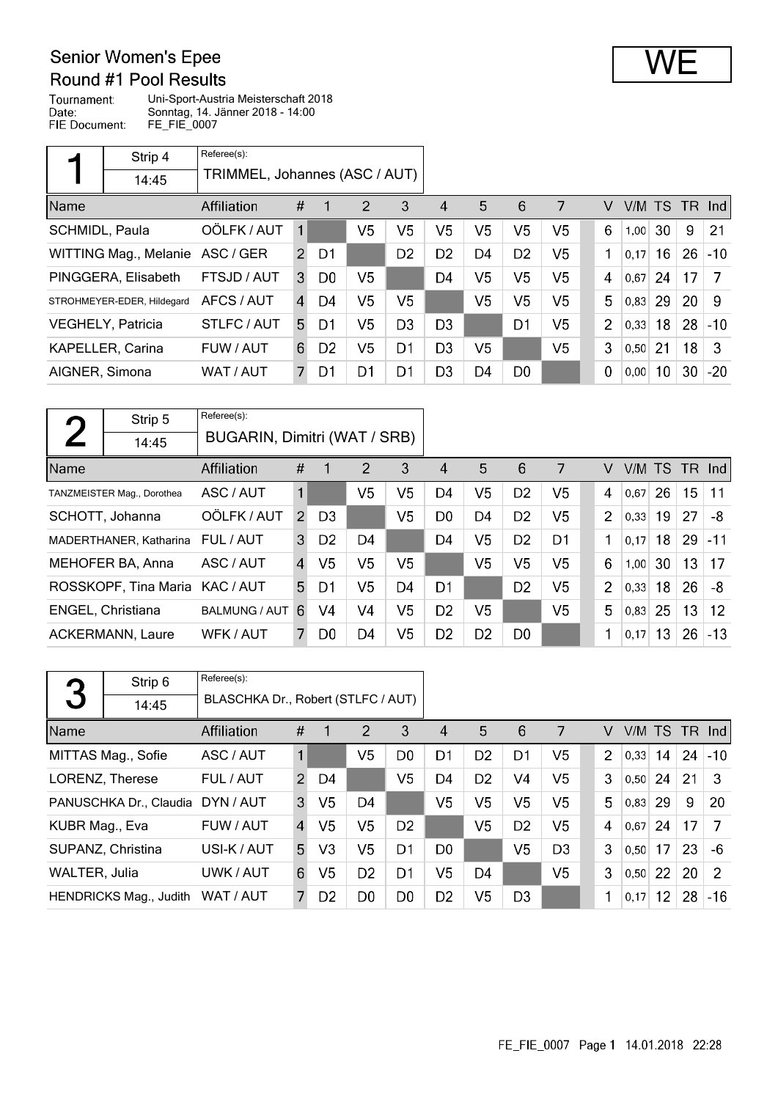## **Senior Women's Epee**

### Round #1 Pool Results

Tournament: Uni-Sport-Austria Meisterschaft 2018 Date: Sonntag, 14. Jänner 2018 - 14:00 FIE Document: FE\_FIE\_0007

|                | Strip 4                    | Referee(s):                   |               |                |                |                |                |                |                |                |                |        |                 |    |        |
|----------------|----------------------------|-------------------------------|---------------|----------------|----------------|----------------|----------------|----------------|----------------|----------------|----------------|--------|-----------------|----|--------|
|                | 14:45                      | TRIMMEL, Johannes (ASC / AUT) |               |                |                |                |                |                |                |                |                |        |                 |    |        |
| Name           |                            | Affiliation                   | #             |                | 2              | 3              | 4              | 5              | 6              | 7              | V              | V/M TS |                 |    | TR Ind |
| SCHMIDL, Paula |                            | OÖLFK / AUT                   | $\mathbf{1}$  |                | V <sub>5</sub> | V <sub>5</sub> | V <sub>5</sub> | V <sub>5</sub> | V <sub>5</sub> | V5             | 6              | 1,00   | 30              | 9  | 21     |
|                | WITTING Mag., Melanie      | ASC / GER                     | $\mathcal{P}$ | D1             |                | D <sub>2</sub> | D <sub>2</sub> | D <sub>4</sub> | D <sub>2</sub> | V5             | 1              | 0.17   | 16              | 26 | $-10$  |
|                | PINGGERA, Elisabeth        | FTSJD / AUT                   | 3             | D <sub>0</sub> | V5             |                | D4             | V <sub>5</sub> | V <sub>5</sub> | V5             | 4              | 0,67   | 24              | 17 | 7      |
|                | STROHMEYER-EDER, Hildegard | AFCS / AUT                    | $\mathbf{A}$  | D4             | V5             | V5             |                | V5             | V <sub>5</sub> | V <sub>5</sub> | 5              | 0,83   | 29              | 20 | -9     |
|                | <b>VEGHELY, Patricia</b>   | STLFC / AUT                   | 5.            | D1             | V5             | D <sub>3</sub> | D3             |                | D1             | V5             | $\overline{2}$ | 0,33   | 18              | 28 | $-10$  |
|                | <b>KAPELLER, Carina</b>    | FUW / AUT                     | 6             | D <sub>2</sub> | V5             | D <sub>1</sub> | D <sub>3</sub> | V5             |                | V5             | 3              | 0,50   | 21              | 18 | 3      |
| AIGNER, Simona |                            | WAT / AUT                     |               | D1             | D1             | D1             | D <sub>3</sub> | D <sub>4</sub> | D <sub>0</sub> |                | $\mathbf 0$    | 0,00   | 10 <sup>°</sup> | 30 | $-20$  |

| $\mathbf{\mathcal{L}}$ | Strip 5                    | Referee(s):                  |                |                |                |    |                |                |                |                |                |        |    |                 |          |
|------------------------|----------------------------|------------------------------|----------------|----------------|----------------|----|----------------|----------------|----------------|----------------|----------------|--------|----|-----------------|----------|
|                        | 14:45                      | BUGARIN, Dimitri (WAT / SRB) |                |                |                |    |                |                |                |                |                |        |    |                 |          |
| Name                   |                            | Affiliation                  | $\#$           |                | $\overline{2}$ | 3  | 4              | 5              | 6              | 7              | V              | V/M TS |    |                 | $TR$ Ind |
|                        | TANZMEISTER Mag., Dorothea | ASC / AUT                    | $\mathbf 1$    |                | V5             | V5 | D4             | V <sub>5</sub> | D <sub>2</sub> | V5             | $\overline{4}$ | 0.67   | 26 | 15 <sub>1</sub> | 11       |
|                        | SCHOTT, Johanna            | OÖLFK / AUT                  | $\mathcal{P}$  | D <sub>3</sub> |                | V5 | D0             | D4             | D <sub>2</sub> | V <sub>5</sub> | $\overline{2}$ | 0,33   | 19 | 27              | -8       |
|                        | MADERTHANER, Katharina     | FUL / AUT                    | 3              | D <sub>2</sub> | D4             |    | D <sub>4</sub> | V5             | D <sub>2</sub> | D1             | 1              | 0,17   | 18 | 29              | $-11$    |
|                        | MEHOFER BA, Anna           | ASC / AUT                    | $\overline{4}$ | V5             | V5             | V5 |                | V5             | V <sub>5</sub> | V <sub>5</sub> | 6              | 1,00   | 30 | 13              | 17       |
|                        | ROSSKOPF, Tina Maria       | KAC / AUT                    | 5              | D1             | V5             | D4 | D <sub>1</sub> |                | D <sub>2</sub> | V <sub>5</sub> | $\overline{2}$ | 0,33   | 18 | 26              | -8       |
|                        | ENGEL, Christiana          | <b>BALMUNG / AUT</b>         | 6              | V <sub>4</sub> | V <sub>4</sub> | V5 | D <sub>2</sub> | V <sub>5</sub> |                | V <sub>5</sub> | 5              | 0,83   | 25 | 13              | 12       |
|                        | <b>ACKERMANN, Laure</b>    | WFK / AUT                    |                | D0             | D4             | V5 | D <sub>2</sub> | D <sub>2</sub> | D <sub>0</sub> |                | 1              | 0,17   | 13 | 26              | $-13$    |

|                | Strip 6                | Referee(s):                        |                |                |                |                |                |                |                |                |                |      |    |    |                 |
|----------------|------------------------|------------------------------------|----------------|----------------|----------------|----------------|----------------|----------------|----------------|----------------|----------------|------|----|----|-----------------|
| 3              | 14:45                  | BLASCHKA Dr., Robert (STLFC / AUT) |                |                |                |                |                |                |                |                |                |      |    |    |                 |
| Name           |                        | Affiliation                        | #              |                | 2              | 3              | 4              | 5              | 6              | 7              | V              |      |    |    | $V/M$ TS TR Ind |
|                | MITTAS Mag., Sofie     | ASC / AUT                          | 1              |                | V5             | D <sub>0</sub> | D1             | D <sub>2</sub> | D1             | V <sub>5</sub> | $\overline{2}$ | 0.33 | 14 | 24 | $-10$           |
|                | LORENZ, Therese        | FUL / AUT                          | $\mathcal{P}$  | D4             |                | V <sub>5</sub> | D <sub>4</sub> | D <sub>2</sub> | V <sub>4</sub> | V <sub>5</sub> | 3              | 0.50 | 24 | 21 | 3               |
|                | PANUSCHKA Dr., Claudia | DYN / AUT                          | 3              | V <sub>5</sub> | D <sub>4</sub> |                | V <sub>5</sub> | V <sub>5</sub> | V <sub>5</sub> | V <sub>5</sub> | 5              | 0.83 | 29 | 9  | 20              |
| KUBR Mag., Eva |                        | FUW / AUT                          | $\overline{4}$ | V <sub>5</sub> | V <sub>5</sub> | D <sub>2</sub> |                | V <sub>5</sub> | D <sub>2</sub> | V <sub>5</sub> | 4              | 0.67 | 24 | 17 | 7               |
|                | SUPANZ, Christina      | USI-K / AUT                        | 5              | V <sub>3</sub> | V <sub>5</sub> | D1             | D <sub>0</sub> |                | V <sub>5</sub> | D <sub>3</sub> | 3              | 0,50 | 17 | 23 | $-6$            |
| WALTER, Julia  |                        | UWK / AUT                          | 6              | V <sub>5</sub> | D <sub>2</sub> | D <sub>1</sub> | V5             | D4             |                | V <sub>5</sub> | 3              | 0,50 | 22 | 20 | $\mathcal{P}$   |
|                | HENDRICKS Mag., Judith | WAT / AUT                          | 7              | D <sub>2</sub> | D <sub>0</sub> | D0             | D <sub>2</sub> | V <sub>5</sub> | D <sub>3</sub> |                | 1              | 0,17 | 12 | 28 | $-16$           |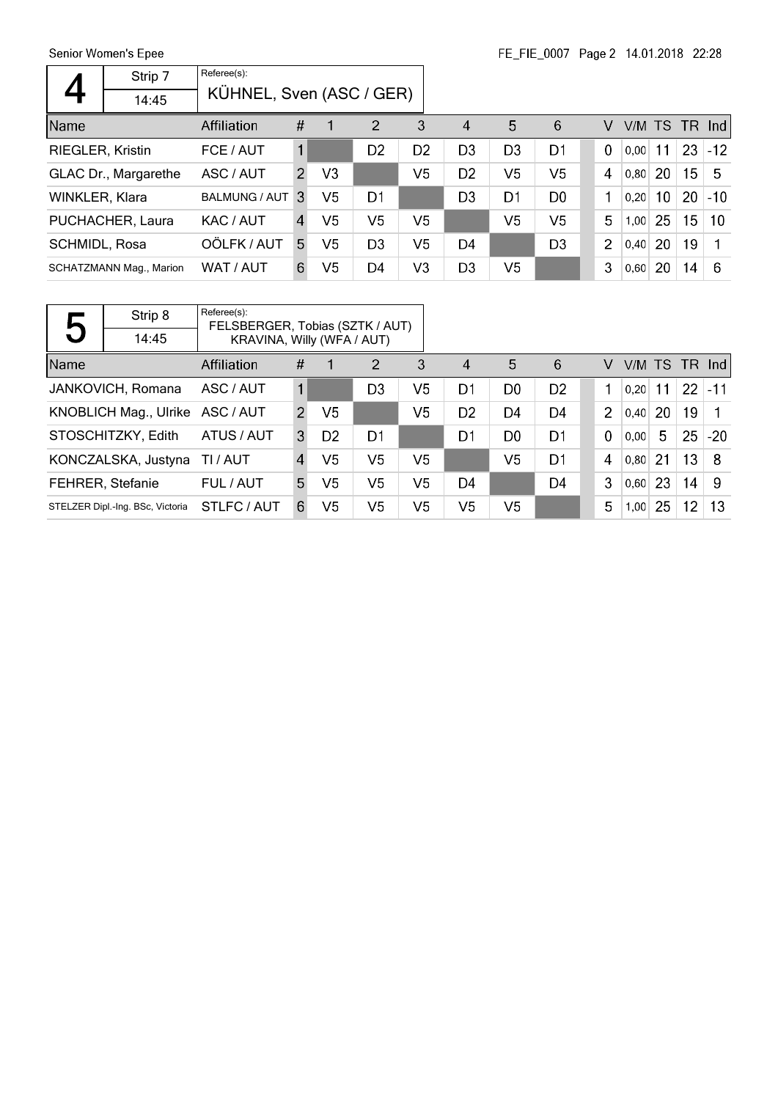$\mathsf{r}$ 

|                  | Senior Women's Epee            |                          |                |                | FE FIE 000/    |                | Page 2 14.01.2018 22:28 |                |                |                |      |                 |                 |       |
|------------------|--------------------------------|--------------------------|----------------|----------------|----------------|----------------|-------------------------|----------------|----------------|----------------|------|-----------------|-----------------|-------|
|                  | Strip 7                        | Referee(s):              |                |                |                |                |                         |                |                |                |      |                 |                 |       |
|                  | 14:45                          | KÜHNEL, Sven (ASC / GER) |                |                |                |                |                         |                |                |                |      |                 |                 |       |
| Name             |                                | Affiliation              | #              | 1              | $\overline{2}$ | 3              | $\boldsymbol{\Lambda}$  | 5              | 6              | v              | V/M  | <b>TS</b>       | TR.             | Ind   |
| RIEGLER, Kristin |                                | FCE / AUT                | 1              |                | D <sub>2</sub> | D <sub>2</sub> | D <sub>3</sub>          | D <sub>3</sub> | D <sub>1</sub> | $\mathbf 0$    | 0.00 | 11              | 23              | $-12$ |
|                  | GLAC Dr., Margarethe           | ASC / AUT                | $\mathcal{P}$  | V <sub>3</sub> |                | V <sub>5</sub> | D <sub>2</sub>          | V <sub>5</sub> | V <sub>5</sub> | 4              | 0,80 | 20              | 15              | -5    |
| WINKLER, Klara   |                                | <b>BALMUNG / AUT</b>     | 3              | V5             | D <sub>1</sub> |                | D3                      | D <sub>1</sub> | D <sub>0</sub> | 1              | 0,20 | 10 <sup>°</sup> | 20              | $-10$ |
|                  | PUCHACHER, Laura               | KAC / AUT                | $\overline{4}$ | V <sub>5</sub> | V5             | V5             |                         | V5             | V <sub>5</sub> | 5              | 1,00 | 25              | 15 <sub>1</sub> | 10    |
| SCHMIDL, Rosa    |                                | OÖLFK / AUT              | 5.             | V <sub>5</sub> | D <sub>3</sub> | V <sub>5</sub> | D <sub>4</sub>          |                | D <sub>3</sub> | $\overline{2}$ | 0,40 | 20              | 19              |       |
|                  | <b>SCHATZMANN Mag., Marion</b> | WAT / AUT                | 6.             | V <sub>5</sub> | D4             | V <sub>3</sub> | D <sub>3</sub>          | V <sub>5</sub> |                | 3              | 0,60 | 20              | 14              | -6    |

|      | Strip 8                          | Referee(s):<br>FELSBERGER, Tobias (SZTK / AUT) |               |                |                |    |                |                |                |                |      |     |    |                 |
|------|----------------------------------|------------------------------------------------|---------------|----------------|----------------|----|----------------|----------------|----------------|----------------|------|-----|----|-----------------|
| 5    | 14:45                            | KRAVINA, Willy (WFA / AUT)                     |               |                |                |    |                |                |                |                |      |     |    |                 |
| Name |                                  | Affiliation                                    | #             | 1              | $\overline{2}$ | 3  | $\overline{4}$ | 5              | 6              | V              |      |     |    | $V/M$ TS TR Ind |
|      | JANKOVICH, Romana                | ASC / AUT                                      |               |                | D <sub>3</sub> | V5 | D1             | D <sub>0</sub> | D <sub>2</sub> |                | 0.20 | 11  |    | $22$ -11        |
|      | KNOBLICH Mag., Ulrike ASC / AUT  |                                                | $\mathcal{P}$ | V <sub>5</sub> |                | V5 | D <sub>2</sub> | D4             | D4             | $\overline{2}$ | 0,40 | 20  | 19 |                 |
|      | STOSCHITZKY, Edith               | ATUS / AUT                                     | 3             | D <sub>2</sub> | D1             |    | D1             | D <sub>0</sub> | D1             | $\Omega$       | 0.00 | 5   | 25 | -20'            |
|      | KONCZALSKA, Justyna              | TI / AUT                                       | $\mathbf{A}$  | V5             | V <sub>5</sub> | V5 |                | V5             | D <sub>1</sub> | 4              | 0,80 | -21 | 13 | -8              |
|      | <b>FEHRER, Stefanie</b>          | FUL / AUT                                      | 5.            | V5             | V5             | V5 | D4             |                | D <sub>4</sub> | 3              | 0,60 | 23  | 14 | -9              |
|      | STELZER Dipl.-Ing. BSc. Victoria | STLFC/AUT                                      | 6.            | V <sub>5</sub> | V <sub>5</sub> | V5 | V <sub>5</sub> | V5             |                | 5              | 1,00 | 25  | 12 | 13              |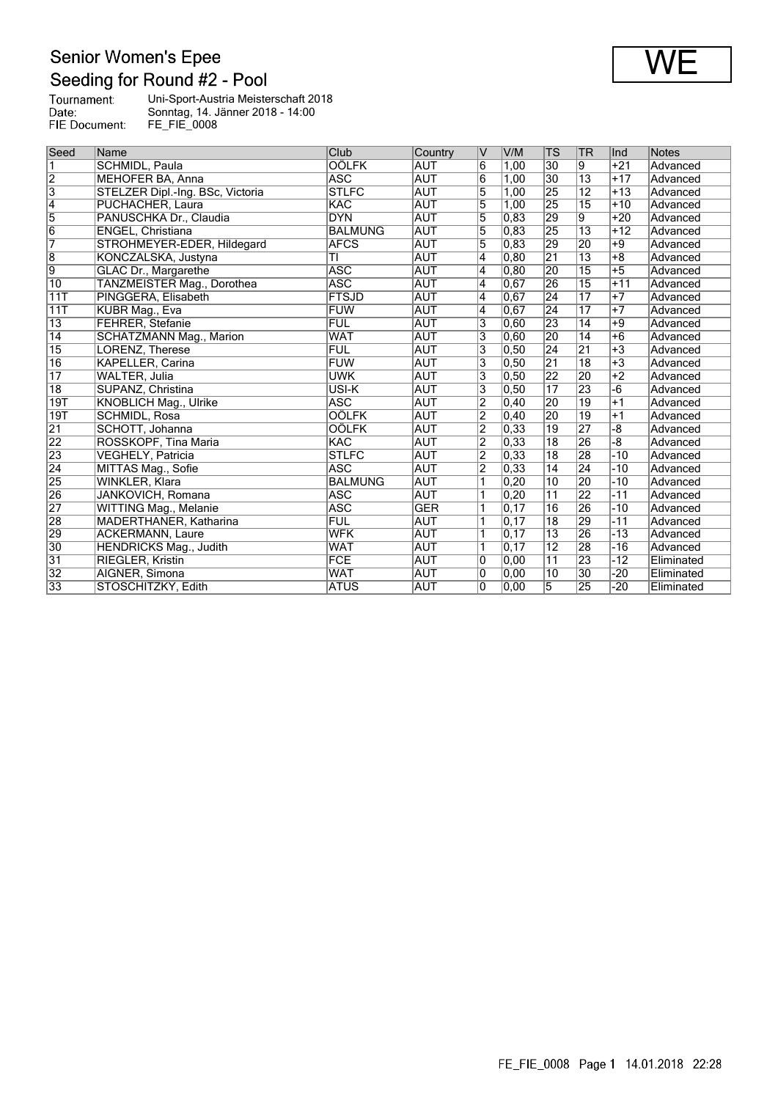## Senior Women's Epee<br>Seeding for Round #2 - Pool

| Tournament:   | Uni-Sport-Austria Meisterschaft 2018 |
|---------------|--------------------------------------|
| Date:         | Sonntag, 14. Jänner 2018 - 14:00     |
| FIE Document: | FE FIE 0008                          |

| Seed                    | Name                             | Club           | Country    | V              | V/M            | TS              | TR              | llnd  | <b>Notes</b> |
|-------------------------|----------------------------------|----------------|------------|----------------|----------------|-----------------|-----------------|-------|--------------|
| $\overline{\mathbb{1}}$ | SCHMIDL, Paula                   | <b>OÖLFK</b>   | <b>AUT</b> | $\overline{6}$ | 1,00           | 30              | Ι9              | $+21$ | Advanced     |
| $\frac{2}{3}$           | MEHOFER BA, Anna                 | <b>ASC</b>     | <b>AUT</b> | 6              | 1,00           | 30              | $\overline{13}$ | $+17$ | Advanced     |
|                         | STELZER Dipl.-Ing. BSc, Victoria | <b>STLFC</b>   | <b>AUT</b> | 5              | 1,00           | 25              | $\overline{12}$ | $+13$ | Advanced     |
| $\overline{4}$          | PUCHACHER, Laura                 | <b>KAC</b>     | <b>AUT</b> | $\overline{5}$ | 1,00           | 25              | $\overline{15}$ | $+10$ | Advanced     |
| $\overline{5}$          | PANUSCHKA Dr., Claudia           | <b>DYN</b>     | <b>AUT</b> | $\overline{5}$ | 0.83           | 29              | 9               | $+20$ | Advanced     |
| $\overline{6}$          | ENGEL, Christiana                | <b>BALMUNG</b> | <b>AUT</b> | $\overline{5}$ | 0,83           | 25              | $\overline{13}$ | $+12$ | Advanced     |
| 7                       | STROHMEYER-EDER, Hildegard       | <b>AFCS</b>    | <b>AUT</b> | 5              | 0,83           | 29              | 20              | $+9$  | Advanced     |
| $\overline{8}$          | KONCZALSKA, Justyna              | TI             | <b>AUT</b> | 4              | 0, 80          | $\overline{21}$ | $\overline{13}$ | $+8$  | Advanced     |
| $\overline{9}$          | <b>GLAC Dr., Margarethe</b>      | <b>ASC</b>     | <b>AUT</b> | $\overline{4}$ | 0.80           | 20              | $\overline{15}$ | $+5$  | Advanced     |
| $\overline{10}$         | TANZMEISTER Mag., Dorothea       | <b>ASC</b>     | <b>AUT</b> | 4              | 0,67           | 26              | $\overline{15}$ | $+11$ | Advanced     |
| 11T                     | PINGGERA, Elisabeth              | <b>FTSJD</b>   | <b>AUT</b> | $\overline{4}$ | 0,67           | 24              | $\overline{17}$ | $+7$  | Advanced     |
| 11T                     | KUBR Mag., Eva                   | <b>FUW</b>     | <b>AUT</b> | 4              | 0,67           | 24              | $\overline{17}$ | $+7$  | Advanced     |
| $\overline{13}$         | <b>FEHRER, Stefanie</b>          | <b>FUL</b>     | <b>AUT</b> | 3              | 0,60           | 23              | $\overline{14}$ | $+9$  | Advanced     |
| $\overline{14}$         | <b>SCHATZMANN Mag., Marion</b>   | <b>WAT</b>     | <b>AUT</b> | 3              | 0.60           | 20              | $\overline{14}$ | $+6$  | Advanced     |
| $\overline{15}$         | LORENZ, Therese                  | <b>FUL</b>     | <b>AUT</b> | 3              | 0.50           | $\overline{24}$ | $\overline{21}$ | $+3$  | Advanced     |
| $\overline{16}$         | <b>KAPELLER, Carina</b>          | <b>FUW</b>     | <b>AUT</b> | 3              | 0, 50          | $\overline{21}$ | $\overline{18}$ | $+3$  | Advanced     |
| $\overline{17}$         | WALTER, Julia                    | <b>UWK</b>     | <b>AUT</b> | 3              | 0, 50          | $\overline{22}$ | 20              | $+2$  | Advanced     |
| $\overline{18}$         | SUPANZ, Christina                | USI-K          | <b>AUT</b> | 3              | 0, 50          | $\overline{17}$ | $\overline{23}$ | -6    | Advanced     |
| 19T                     | <b>KNOBLICH Mag., Ulrike</b>     | <b>ASC</b>     | <b>AUT</b> | $\overline{2}$ | $ 0,40\rangle$ | 20              | 19              | $+1$  | Advanced     |
| 19T                     | <b>SCHMIDL, Rosa</b>             | <b>OÖLFK</b>   | <b>AUT</b> | $\overline{2}$ | $ 0,40\rangle$ | 20              | 19              | $+1$  | Advanced     |
| 21                      | SCHOTT, Johanna                  | <b>OÖLFK</b>   | <b>AUT</b> | $\overline{2}$ | 0,33           | 19              | 27              | -8    | Advanced     |
| 22                      | ROSSKOPF, Tina Maria             | <b>KAC</b>     | <b>AUT</b> | $\overline{2}$ | 0,33           | 18              | 26              | -8    | Advanced     |
| 23                      | VEGHELY, Patricia                | <b>STLFC</b>   | <b>AUT</b> | $\overline{2}$ | 0.33           | 18              | 28              | $-10$ | Advanced     |
| $\overline{24}$         | MITTAS Mag., Sofie               | <b>ASC</b>     | <b>AUT</b> | $\overline{2}$ | 0,33           | 14              | $\overline{24}$ | $-10$ | Advanced     |
| 25                      | WINKLER, Klara                   | <b>BALMUNG</b> | <b>AUT</b> | 1              | 0,20           | 10              | 20              | $-10$ | Advanced     |
| 26                      | JANKOVICH, Romana                | <b>ASC</b>     | <b>AUT</b> |                | 0.20           | $\overline{11}$ | 22              | $-11$ | Advanced     |
| $\overline{27}$         | WITTING Mag., Melanie            | <b>ASC</b>     | <b>GER</b> | 1              | 0, 17          | 16              | 26              | $-10$ | Advanced     |
| 28                      | MADERTHANER, Katharina           | <b>FUL</b>     | <b>AUT</b> | 1              | 0, 17          | $\overline{18}$ | 29              | $-11$ | Advanced     |
| 29                      | <b>ACKERMANN, Laure</b>          | <b>WFK</b>     | <b>AUT</b> | 1              | 0, 17          | 13              | 26              | $-13$ | Advanced     |
| $\overline{30}$         | HENDRICKS Mag., Judith           | <b>WAT</b>     | <b>AUT</b> | 1              | 0, 17          | 12              | 28              | $-16$ | Advanced     |
| $\overline{31}$         | <b>RIEGLER, Kristin</b>          | <b>FCE</b>     | AUT        | 0              | 0.00           | 11              | 23              | -12   | Eliminated   |
| $\overline{32}$         | AIGNER, Simona                   | <b>WAT</b>     | <b>AUT</b> | $\overline{0}$ | 0,00           | $\overline{10}$ | $\overline{30}$ | $-20$ | Eliminated   |
| 33                      | STOSCHITZKY, Edith               | <b>ATUS</b>    | <b>AUT</b> | $\overline{0}$ | 0.00           | $\overline{5}$  | 25              | $-20$ | Eliminated   |

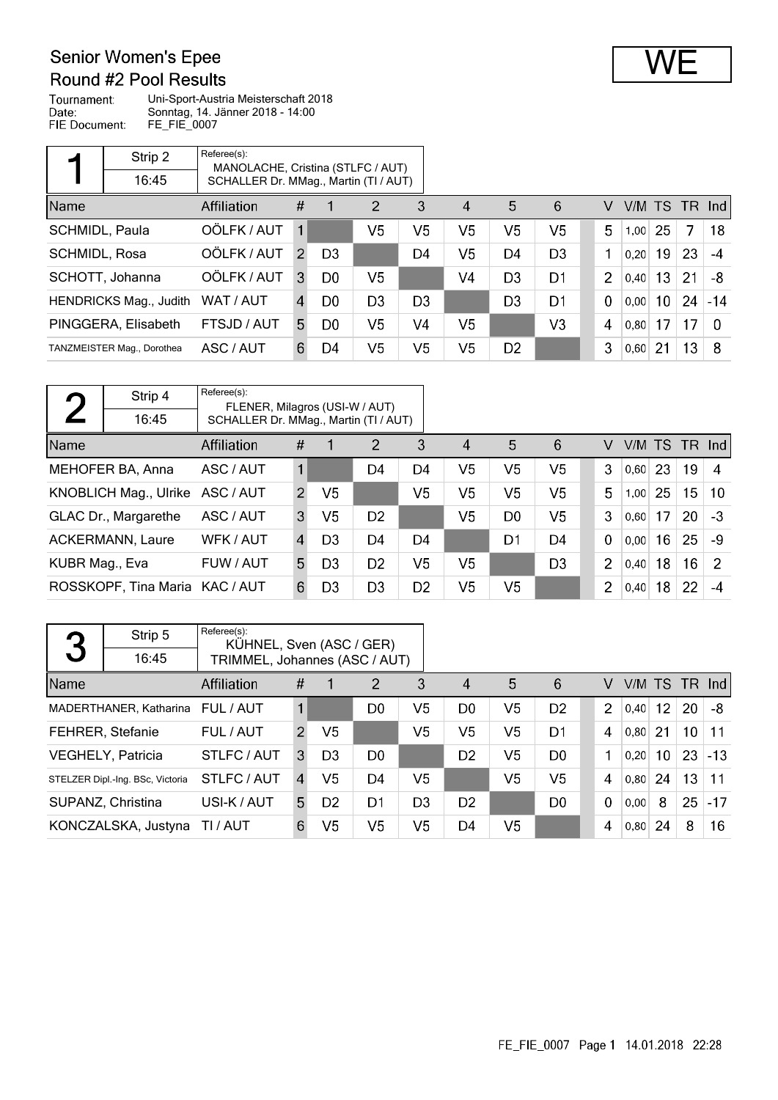## **Senior Women's Epee**

### Round #2 Pool Results

Tournament: Uni-Sport-Austria Meisterschaft 2018 Date: Sonntag, 14. Jänner 2018 - 14:00 FIE Document: FE\_FIE\_0007

|                | Strip 2                    | Referee(s):<br>MANOLACHE, Cristina (STLFC / AUT) |                |                |                |                |                        |                |                |                |                 |                 |                 |       |
|----------------|----------------------------|--------------------------------------------------|----------------|----------------|----------------|----------------|------------------------|----------------|----------------|----------------|-----------------|-----------------|-----------------|-------|
|                | 16:45                      | SCHALLER Dr. MMag., Martin (TI / AUT)            |                |                |                |                |                        |                |                |                |                 |                 |                 |       |
| Name           |                            | <b>Affiliation</b>                               | #              |                | $\overline{2}$ | 3              | $\boldsymbol{\Lambda}$ | 5              | 6              | V              | $V/M$ TS TR Ind |                 |                 |       |
| SCHMIDL, Paula |                            | OÖLFK / AUT                                      | $\mathbf{1}$   |                | V5             | V5             | V5                     | V5             | V <sub>5</sub> | 5              | 1,00            | 25              | 7               | 18    |
| SCHMIDL, Rosa  |                            | OÖLFK / AUT                                      | $\mathcal{P}$  | D <sub>3</sub> |                | D <sub>4</sub> | V <sub>5</sub>         | D4             | D <sub>3</sub> | 1              | 0,20            | 19              | 23              | $-4$  |
|                | SCHOTT, Johanna            | OÖLFK / AUT                                      | 3              | D <sub>0</sub> | V <sub>5</sub> |                | V4                     | D <sub>3</sub> | D <sub>1</sub> | $\overline{2}$ | 0.40            | 13              | 21              | -8    |
|                | HENDRICKS Mag., Judith     | WAT / AUT                                        | $\overline{A}$ | D <sub>0</sub> | D <sub>3</sub> | D <sub>3</sub> |                        | D <sub>3</sub> | D <sub>1</sub> | $\mathbf 0$    | 0,00            | 10 <sup>°</sup> | 24              | $-14$ |
|                | PINGGERA, Elisabeth        | FTSJD / AUT                                      | 5.             | D <sub>0</sub> | V5             | V <sub>4</sub> | V5                     |                | V <sub>3</sub> | 4              | 0.80            | 17              | 17              | - 0   |
|                | TANZMEISTER Mag., Dorothea | ASC / AUT                                        | 6              | D4             | V5             | V <sub>5</sub> | V5                     | D <sub>2</sub> |                | 3              | 0,60            | 21              | 13 <sup>2</sup> | -8    |

| η              | Strip 4                        | Referee(s):<br>FLENER, Milagros (USI-W / AUT) |               |                |                |                |                        |                |                |                |        |     |                 |                  |
|----------------|--------------------------------|-----------------------------------------------|---------------|----------------|----------------|----------------|------------------------|----------------|----------------|----------------|--------|-----|-----------------|------------------|
|                | 16:45                          | SCHALLER Dr. MMag., Martin (TI / AUT)         |               |                |                |                |                        |                |                |                |        |     |                 |                  |
| Name           |                                | Affiliation                                   | #             | 1              | $\overline{2}$ | 3              | $\boldsymbol{\Lambda}$ | 5              | 6              | V              | V/M TS |     | - TR            | -Ind l           |
|                | MEHOFER BA, Anna               | ASC / AUT                                     | $\mathbf{1}$  |                | D4             | D4             | V <sub>5</sub>         | V5             | V <sub>5</sub> | 3              | 0.60   | 23  | 19              | $\boldsymbol{A}$ |
|                | KNOBLICH Mag., Ulrike          | ASC / AUT                                     | $\mathcal{P}$ | V <sub>5</sub> |                | V <sub>5</sub> | V <sub>5</sub>         | V5             | V <sub>5</sub> | 5              | 1.00   | 25  | 15 <sub>1</sub> | 10               |
|                | GLAC Dr., Margarethe           | ASC / AUT                                     | 3             | V5             | D <sub>2</sub> |                | V <sub>5</sub>         | D <sub>0</sub> | V <sub>5</sub> | 3              | 0,60   | 17  | 20              | -3               |
|                | <b>ACKERMANN, Laure</b>        | WFK / AUT                                     | 4             | D <sub>3</sub> | D <sub>4</sub> | D <sub>4</sub> |                        | D1             | D <sub>4</sub> | $\mathbf 0$    | 0.00   | 16  | 25              | -9               |
| KUBR Mag., Eva |                                | FUW / AUT                                     | 5             | D <sub>3</sub> | D <sub>2</sub> | V5             | V <sub>5</sub>         |                | D <sub>3</sub> | $\overline{2}$ | 0,40   | 18  | 16              | 2                |
|                | ROSSKOPF, Tina Maria KAC / AUT |                                               | 6.            | D <sub>3</sub> | D3             | D <sub>2</sub> | V5                     | V <sub>5</sub> |                | $\overline{2}$ | 0,40   | 18. | 22              | -4               |

| 3    | Strip 5                          | Referee(s):                   | KÜHNEL, Sven (ASC / GER) |                |                |                |                        |                |                |  |                |        |                 |    |          |
|------|----------------------------------|-------------------------------|--------------------------|----------------|----------------|----------------|------------------------|----------------|----------------|--|----------------|--------|-----------------|----|----------|
|      | 16:45                            | TRIMMEL, Johannes (ASC / AUT) |                          |                |                |                |                        |                |                |  |                |        |                 |    |          |
| Name |                                  | Affiliation                   | #                        |                | $\overline{2}$ | 3              | $\boldsymbol{\Lambda}$ | $5\phantom{.}$ | 6              |  | V              | V/M TS |                 |    | $TR$ Ind |
|      | MADERTHANER, Katharina           | FUL / AUT                     |                          |                | D0             | V <sub>5</sub> | D <sub>0</sub>         | V <sub>5</sub> | D <sub>2</sub> |  | $\overline{2}$ | 0,40   | 12              | 20 | -8       |
|      | <b>FEHRER, Stefanie</b>          | FUL / AUT                     | $\overline{2}$           | V <sub>5</sub> |                | V5             | V5                     | V <sub>5</sub> | D1             |  | 4              | 0.80   | 21              | 10 | $-11$    |
|      | <b>VEGHELY, Patricia</b>         | STLFC / AUT                   | 3                        | D <sub>3</sub> | D <sub>0</sub> |                | D <sub>2</sub>         | V5             | D <sub>0</sub> |  | 1              | 0.20   | 10 <sup>°</sup> | 23 | $ -13$   |
|      | STELZER Dipl.-Ing. BSc. Victoria | STLFC/AUT                     | $\overline{4}$           | V5             | D4             | V5             |                        | V <sub>5</sub> | V <sub>5</sub> |  | 4              | 0.80   | 24              | 13 | 11       |
|      | SUPANZ, Christina                | USI-K / AUT                   | 5                        | D <sub>2</sub> | D <sub>1</sub> | D <sub>3</sub> | D <sub>2</sub>         |                | D <sub>0</sub> |  | $\mathbf 0$    | 0.00   | 8               | 25 | $-17$    |
|      | KONCZALSKA, Justyna              | TI / AUT                      | 6                        | V <sub>5</sub> | V <sub>5</sub> | V5             | D4                     | V <sub>5</sub> |                |  | 4              | 0, 80  | 24              | 8  | 16       |

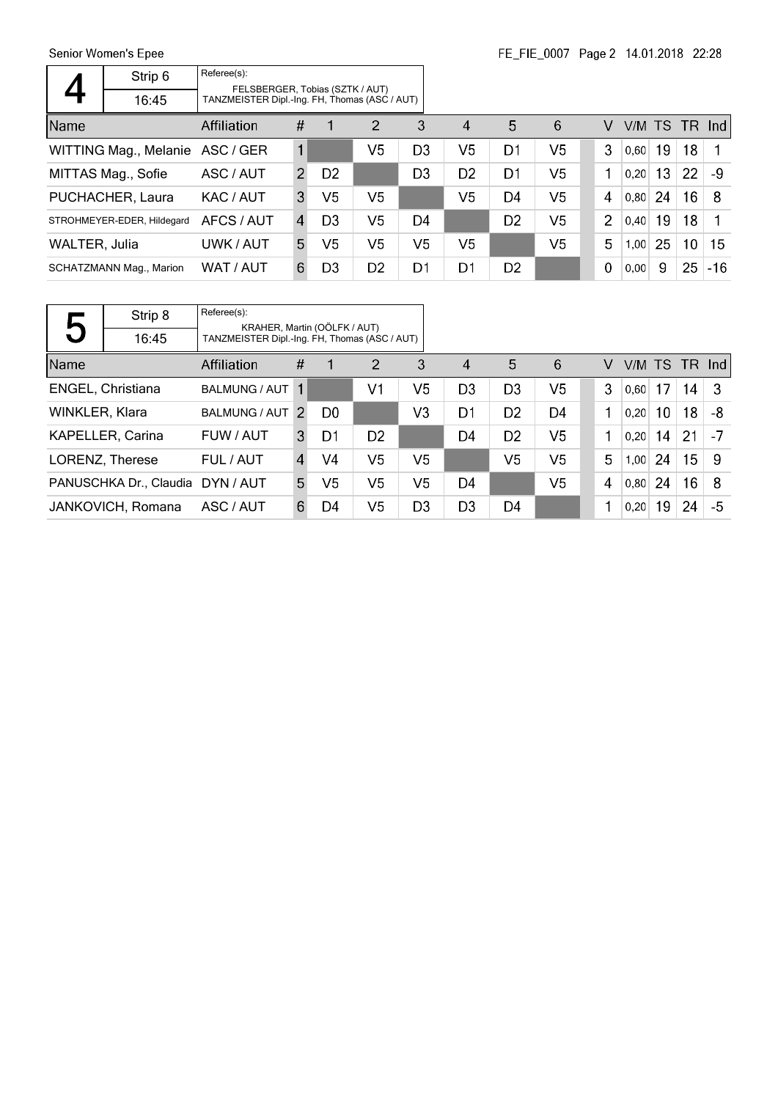Senior Women's Epee  $\overline{\phantom{a}}$ 

 $\mathsf{r}$ 

|               | Strip 6                    | Referee(s): | FELSBERGER, Tobias (SZTK / AUT)<br>TANZMEISTER Dipl.-Ing. FH, Thomas (ASC / AUT) |                |                |                |                        |                |                |  |                |               |                 |                 |              |
|---------------|----------------------------|-------------|----------------------------------------------------------------------------------|----------------|----------------|----------------|------------------------|----------------|----------------|--|----------------|---------------|-----------------|-----------------|--------------|
|               | 16:45                      |             |                                                                                  |                |                |                |                        |                |                |  |                |               |                 |                 |              |
| Name          |                            | Affiliation | #                                                                                | 1              | $\overline{2}$ | -3             | $\boldsymbol{\Lambda}$ | 5              | 6              |  | V              | V/M TS TR Ind |                 |                 |              |
|               | WITTING Mag., Melanie      | ASC / GER   | 1                                                                                |                | V5             | D <sub>3</sub> | V <sub>5</sub>         | D1             | V <sub>5</sub> |  | 3              | 0,60          | 19              | 18              | $\mathbf{1}$ |
|               | MITTAS Mag., Sofie         | ASC / AUT   | $\mathcal{P}$                                                                    | D <sub>2</sub> |                | D <sub>3</sub> | D <sub>2</sub>         | D1             | V5             |  | 1              | 0.20          | 13 <sup>°</sup> | 22              | -9           |
|               | PUCHACHER, Laura           | KAC / AUT   | 3                                                                                | V5             | V5             |                | V <sub>5</sub>         | D4             | V <sub>5</sub> |  | 4              | 0,80          | 24              | 16 <sup>1</sup> | -8           |
|               | STROHMEYER-EDER, Hildegard | AFCS / AUT  | $\overline{4}$                                                                   | D <sub>3</sub> | V5             | D <sub>4</sub> |                        | D <sub>2</sub> | V <sub>5</sub> |  | $\overline{2}$ | 0,40          | 19              | 18              | 1            |
| WALTER, Julia |                            | UWK / AUT   | 5.                                                                               | V5             | V5             | V <sub>5</sub> | V <sub>5</sub>         |                | V <sub>5</sub> |  | 5              | 1.00          | 25              | 10 <sup>°</sup> | 15           |
|               | SCHATZMANN Mag., Marion    | WAT / AUT   | 6                                                                                | D <sub>3</sub> | D <sub>2</sub> | D1             | D1                     | D <sub>2</sub> |                |  | 0              | 0.00          | -9              | 25              | $-16$        |

 $\overline{\phantom{a}}$ 

|                          | Strip 8                | Referee(s):          | KRAHER, Martin (OÖLFK / AUT)                  |                |                |                |                |                |                |  |   |      |    |               |      |
|--------------------------|------------------------|----------------------|-----------------------------------------------|----------------|----------------|----------------|----------------|----------------|----------------|--|---|------|----|---------------|------|
| $\overline{\phantom{a}}$ | 16:45                  |                      | TANZMEISTER Dipl.-Ing. FH, Thomas (ASC / AUT) |                |                |                |                |                |                |  |   |      |    |               |      |
| Name                     |                        | Affiliation          | #                                             | 1              | 2              | 3              | 4              | 5              | 6              |  | V |      |    | V/M TS TR Ind |      |
|                          | ENGEL, Christiana      | BALMUNG / AUT        | -1                                            |                | V1             | V5             | D <sub>3</sub> | D <sub>3</sub> | V <sub>5</sub> |  | 3 | 0,60 | 17 | 14            | -3   |
| WINKLER, Klara           |                        | <b>BALMUNG / AUT</b> | $\mathcal{P}$                                 | D <sub>0</sub> |                | V <sub>3</sub> | D1             | D <sub>2</sub> | D4             |  | 1 | 0,20 | 10 | 18            | -8   |
|                          | KAPELLER, Carina       | FUW / AUT            | 3                                             | D1             | D <sub>2</sub> |                | D4             | D <sub>2</sub> | V <sub>5</sub> |  | 1 | 0,20 | 14 | 21            | $-7$ |
|                          | LORENZ, Therese        | FUL / AUT            | $\overline{4}$                                | V4             | V <sub>5</sub> | V5             |                | V <sub>5</sub> | V <sub>5</sub> |  | 5 | 1,00 | 24 | 15            | -9   |
|                          | PANUSCHKA Dr., Claudia | DYN / AUT            | 5.                                            | V5             | V5             | V5             | D4             |                | V <sub>5</sub> |  | 4 | 0,80 | 24 | 16            | 8    |
|                          | JANKOVICH, Romana      | ASC / AUT            | 6                                             | D4             | V <sub>5</sub> | D <sub>3</sub> | D <sub>3</sub> | D4             |                |  |   | 0.20 | 19 | 24            | -5   |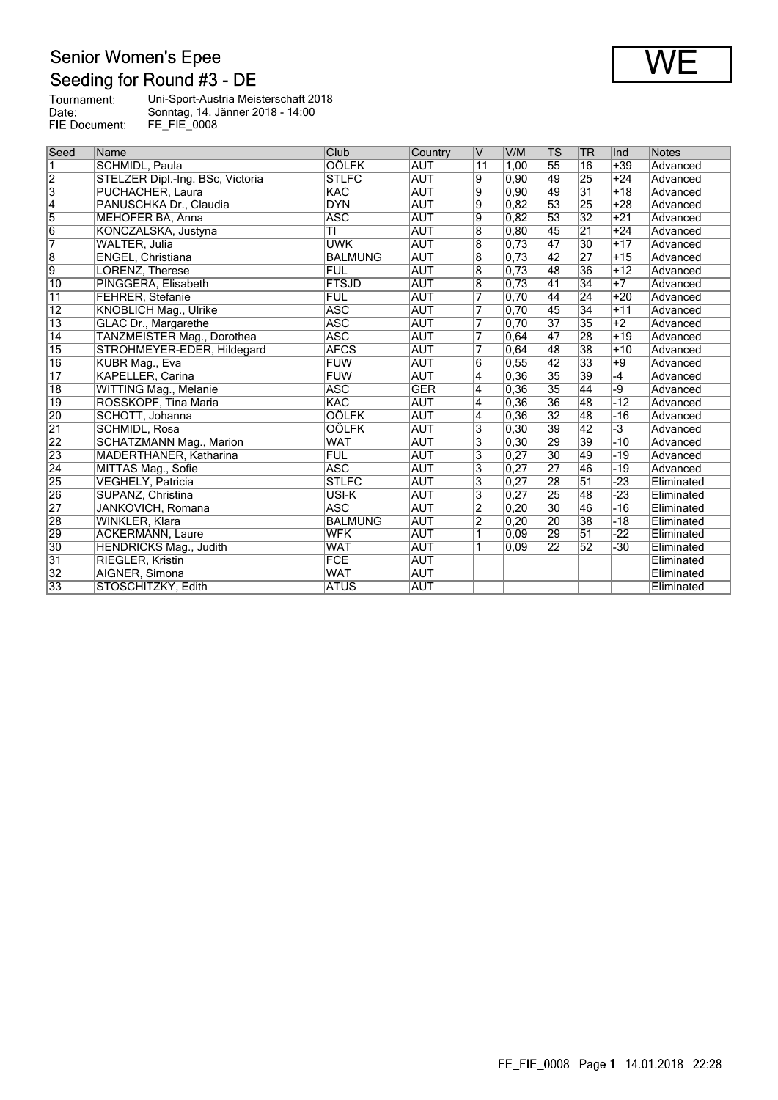## Senior Women's Epee<br>Seeding for Round #3 - DE

| Tournament:   | Uni-Sport-Austria Meisterschaft 2018 |
|---------------|--------------------------------------|
| Date:         | Sonntag, 14. Jänner 2018 - 14:00     |
| FIE Document: | FE FIE 0008                          |

| Seed                    | Name                             | Club           | Country    | v                         | V/M               | TS              | TR              | ∣Ind  | Notes      |
|-------------------------|----------------------------------|----------------|------------|---------------------------|-------------------|-----------------|-----------------|-------|------------|
| $\overline{\mathbf{1}}$ | <b>SCHMIDL, Paula</b>            | <b>OÖLFK</b>   | <b>AUT</b> | $\overline{11}$           | 1,00              | 55              | 16              | $+39$ | Advanced   |
| $\overline{2}$          | STELZER Dipl.-Ing. BSc, Victoria | <b>STLFC</b>   | <b>AUT</b> | 9                         | 0,90              | 49              | 25              | $+24$ | Advanced   |
| $\overline{3}$          | PUCHACHER, Laura                 | KAC            | <b>AUT</b> | 9                         | 0,90              | 49              | $\overline{31}$ | $+18$ | Advanced   |
| $\overline{4}$          | PANUSCHKA Dr., Claudia           | <b>DYN</b>     | <b>AUT</b> | 9                         | 0,82              | 53              | 25              | $+28$ | Advanced   |
| 5                       | <b>MEHOFER BA, Anna</b>          | <b>ASC</b>     | <b>AUT</b> | 9                         | 0.82              | 53              | $\overline{32}$ | $+21$ | Advanced   |
| $\overline{6}$          | KONCZALSKA, Justyna              | ΤI             | <b>AUT</b> | 8                         | 0, 80             | 45              | $\overline{21}$ | $+24$ | Advanced   |
| 7                       | WALTER, Julia                    | <b>UWK</b>     | <b>AUT</b> | $\overline{8}$            | 0,73              | 47              | 30              | $+17$ | Advanced   |
| $\overline{8}$          | ENGEL, Christiana                | <b>BALMUNG</b> | <b>AUT</b> | $\overline{8}$            | 0,73              | 42              | 27              | $+15$ | Advanced   |
| 9                       | LORENZ, Therese                  | <b>FUL</b>     | <b>AUT</b> | $\overline{8}$            | $\overline{0,73}$ | 48              | 36              | $+12$ | Advanced   |
| $\overline{10}$         | PINGGERA, Elisabeth              | <b>FTSJD</b>   | <b>AUT</b> | 8                         | 0,73              | 41              | 34              | $+7$  | Advanced   |
| $\overline{11}$         | <b>FEHRER, Stefanie</b>          | <b>FUL</b>     | <b>AUT</b> | 7                         | 0,70              | 44              | $\overline{24}$ | $+20$ | Advanced   |
| $\overline{12}$         | KNOBLICH Mag., Ulrike            | <b>ASC</b>     | <b>AUT</b> | 7                         | 0,70              | 45              | $\overline{34}$ | $+11$ | Advanced   |
| $\overline{13}$         | GLAC Dr., Margarethe             | <b>ASC</b>     | <b>AUT</b> | 7                         | 0,70              | $\overline{37}$ | $\overline{35}$ | $+2$  | Advanced   |
| $\overline{14}$         | TANZMEISTER Mag., Dorothea       | <b>ASC</b>     | <b>AUT</b> | 7                         | 0.64              | $\overline{47}$ | 28              | $+19$ | Advanced   |
| $\overline{15}$         | STROHMEYER-EDER, Hildegard       | <b>AFCS</b>    | <b>AUT</b> | 7                         | 0,64              | 48              | $\overline{38}$ | $+10$ | Advanced   |
| $\overline{16}$         | KUBR Mag., Eva                   | <b>FUW</b>     | <b>AUT</b> | 6                         | 0, 55             | 42              | $\overline{33}$ | $+9$  | Advanced   |
| $\overline{17}$         | <b>KAPELLER, Carina</b>          | <b>FUW</b>     | <b>AUT</b> | 4                         | 0,36              | 35              | 39              | $-4$  | Advanced   |
| $\overline{18}$         | <b>WITTING Mag., Melanie</b>     | <b>ASC</b>     | <b>GER</b> | 4                         | 0,36              | 35              | 44              | -9    | Advanced   |
| $\overline{19}$         | ROSSKOPF, Tina Maria             | <b>KAC</b>     | <b>AUT</b> | $\overline{4}$            | 0,36              | 36              | 48              | $-12$ | Advanced   |
| 20                      | SCHOTT, Johanna                  | OÖLFK          | <b>AUT</b> | 4                         | 0,36              | $\overline{32}$ | 48              | $-16$ | Advanced   |
| $\overline{21}$         | <b>SCHMIDL, Rosa</b>             | <b>OÖLFK</b>   | <b>AUT</b> | 3                         | 0,30              | 39              | 42              | $-3$  | Advanced   |
| 22                      | SCHATZMANN Mag., Marion          | <b>WAT</b>     | <b>AUT</b> | 3                         | 0,30              | 29              | 39              | $-10$ | Advanced   |
| 23                      | MADERTHANER, Katharina           | <b>FUL</b>     | <b>AUT</b> | 3                         | 0,27              | 30              | 49              | $-19$ | Advanced   |
| $\overline{24}$         | MITTAS Mag., Sofie               | <b>ASC</b>     | <b>AUT</b> | $\overline{\mathbf{3}}$   | 0,27              | $\overline{27}$ | 46              | $-19$ | Advanced   |
| 25                      | <b>VEGHELY, Patricia</b>         | <b>STLFC</b>   | <b>AUT</b> | $\overline{\overline{3}}$ | 0,27              | 28              | $\overline{51}$ | $-23$ | Eliminated |
| 26                      | SUPANZ, Christina                | USI-K          | <b>AUT</b> | $\overline{\mathbf{3}}$   | 0,27              | 25              | 48              | $-23$ | Eliminated |
| 27                      | JANKOVICH, Romana                | <b>ASC</b>     | <b>AUT</b> | $\overline{2}$            | 0, 20             | $\overline{30}$ | 46              | $-16$ | Eliminated |
| 28                      | WINKLER, Klara                   | <b>BALMUNG</b> | <b>AUT</b> | $\overline{2}$            | 0, 20             | 20              | 38              | $-18$ | Eliminated |
| 29                      | <b>ACKERMANN, Laure</b>          | <b>WFK</b>     | <b>AUT</b> | 1                         | 0,09              | 29              | $\overline{51}$ | $-22$ | Eliminated |
| $\overline{30}$         | HENDRICKS Mag., Judith           | <b>WAT</b>     | <b>AUT</b> | 1                         | $ 0,09\rangle$    | 22              | 52              | $-30$ | Eliminated |
| 31                      | <b>RIEGLER, Kristin</b>          | <b>FCE</b>     | <b>AUT</b> |                           |                   |                 |                 |       | Eliminated |
| $\overline{32}$         | AIGNER, Simona                   | <b>WAT</b>     | <b>AUT</b> |                           |                   |                 |                 |       | Eliminated |
| 33                      | STOSCHITZKY, Edith               | <b>ATUS</b>    | <b>AUT</b> |                           |                   |                 |                 |       | Eliminated |

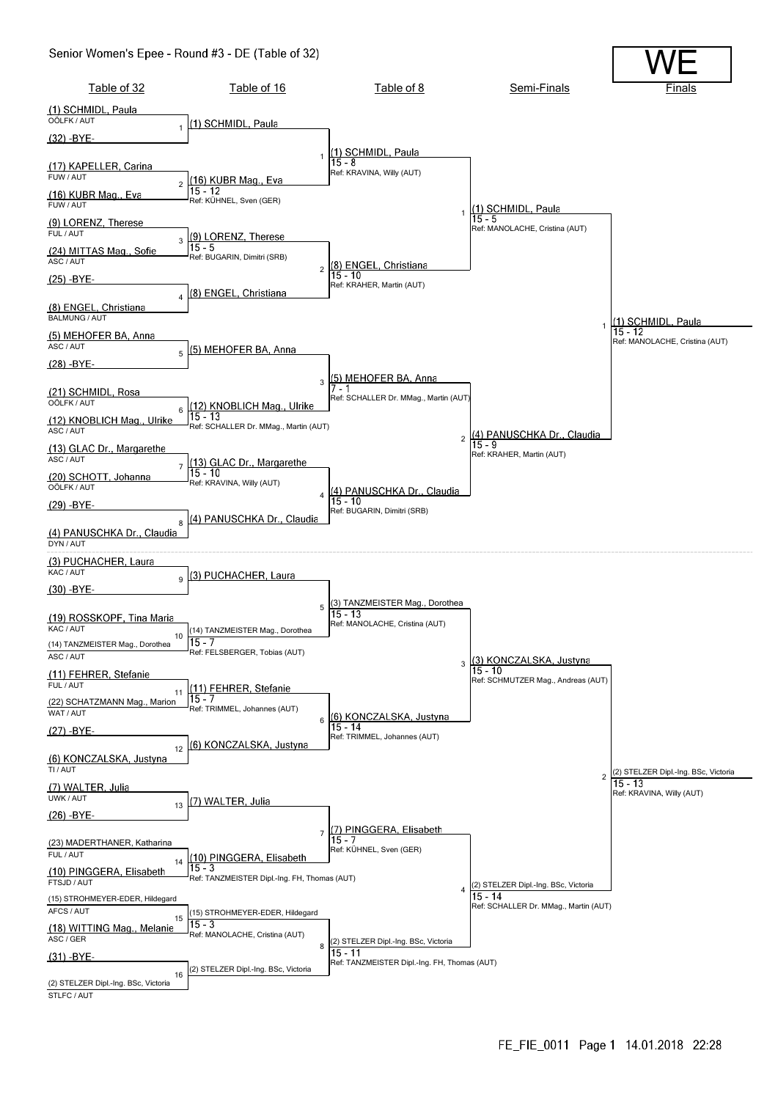### Senior Women's Epee - Round #3 - DE (Table of 32)

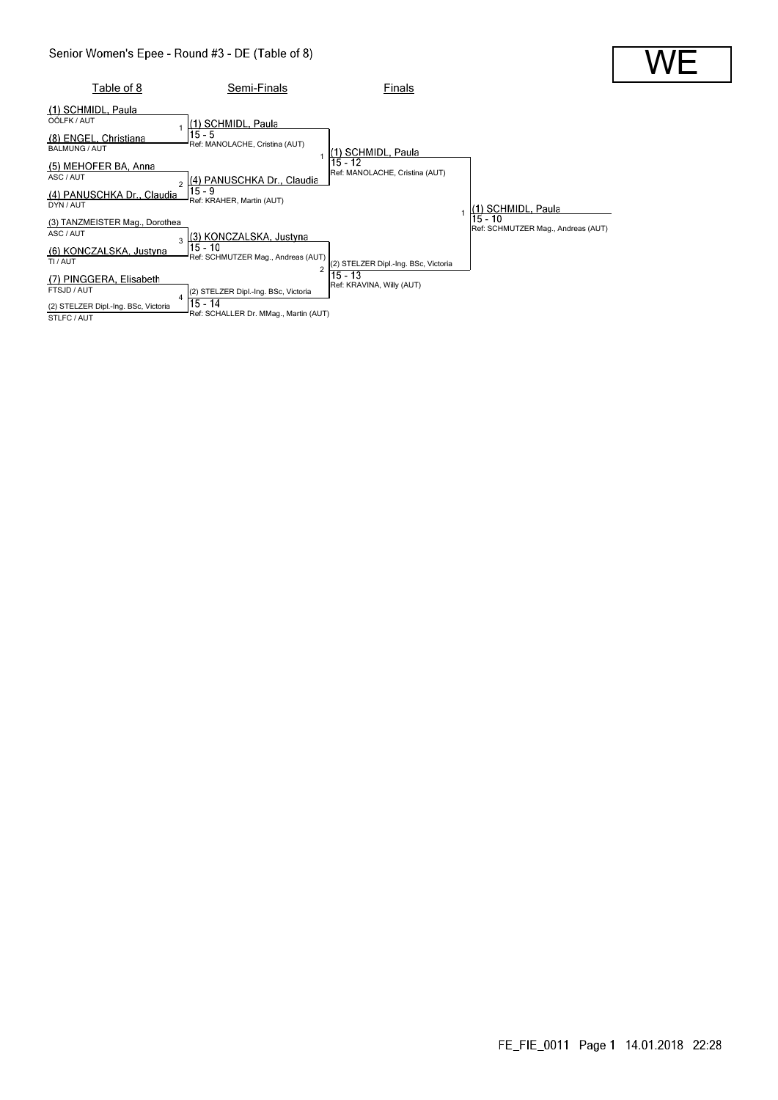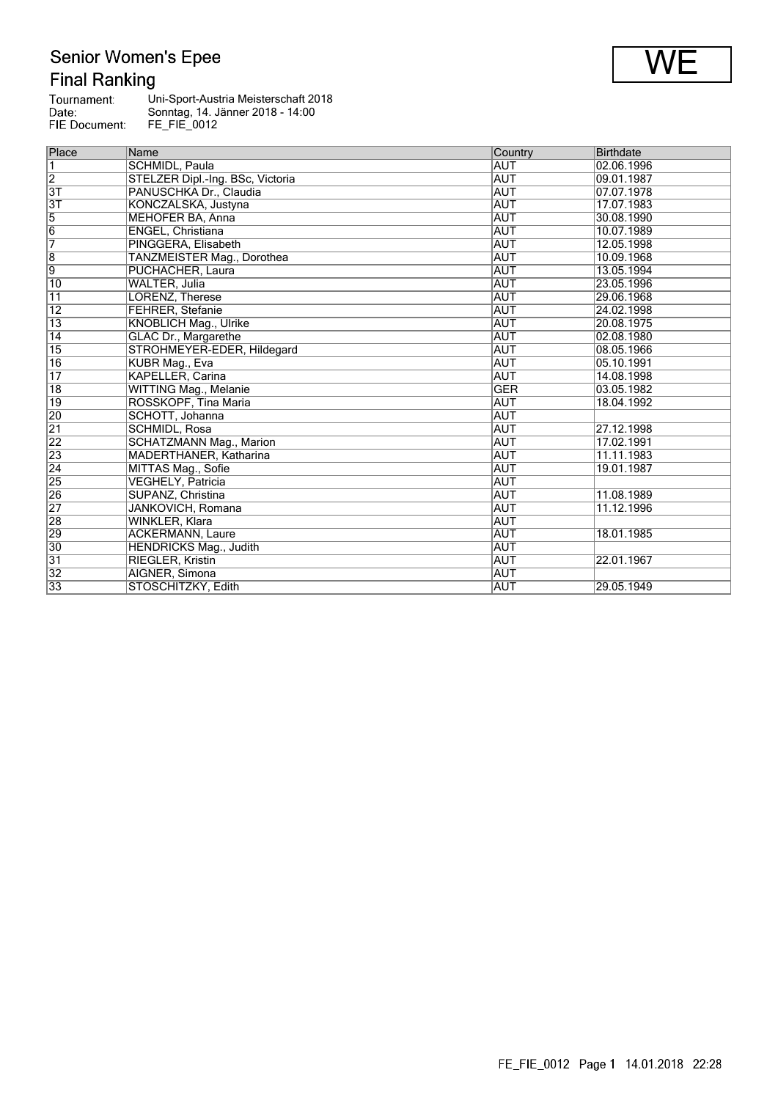# Senior Women's Epee<br>Final Ranking

| Tournament:   | Uni-Sport-Austria Meisterschaft 2018 |
|---------------|--------------------------------------|
| Date:         | Sonntag, 14. Jänner 2018 - 14:00     |
| FIE Document: | FE FIE 0012                          |

| Place           | Name                             | Country    | <b>Birthdate</b> |
|-----------------|----------------------------------|------------|------------------|
| $\overline{1}$  | SCHMIDL, Paula                   | AUT        | 02.06.1996       |
| $\overline{2}$  | STELZER Dipl.-Ing. BSc, Victoria | <b>AUT</b> | 09.01.1987       |
| 3T              | PANUSCHKA Dr., Claudia           | <b>AUT</b> | 07.07.1978       |
| 3T              | KONCZALSKA, Justyna              | <b>AUT</b> | 17.07.1983       |
| $\overline{5}$  | MEHOFER BA, Anna                 | <b>AUT</b> | 30.08.1990       |
| $\overline{6}$  | ENGEL, Christiana                | AUT        | 10.07.1989       |
| 7               | PINGGERA, Elisabeth              | <b>AUT</b> | 12.05.1998       |
| $\overline{8}$  | TANZMEISTER Mag., Dorothea       | AUT        | 10.09.1968       |
| $\overline{9}$  | PUCHACHER, Laura                 | AUT        | 13.05.1994       |
| $\overline{10}$ | <b>WALTER, Julia</b>             | <b>AUT</b> | 23.05.1996       |
| 11              | LORENZ, Therese                  | <b>AUT</b> | 29.06.1968       |
| 12              | <b>FEHRER, Stefanie</b>          | <b>AUT</b> | 24.02.1998       |
| $\overline{13}$ | <b>KNOBLICH Mag., Ulrike</b>     | <b>AUT</b> | 20.08.1975       |
| 14              | <b>GLAC Dr., Margarethe</b>      | <b>AUT</b> | 02.08.1980       |
| $\overline{15}$ | STROHMEYER-EDER, Hildegard       | <b>AUT</b> | 08.05.1966       |
| 16              | KUBR Mag., Eva                   | <b>AUT</b> | 05.10.1991       |
| $\overline{17}$ | <b>KAPELLER, Carina</b>          | AUT        | 14.08.1998       |
| 18              | <b>WITTING Mag., Melanie</b>     | <b>GER</b> | 03.05.1982       |
| 19              | ROSSKOPF, Tina Maria             | AUT        | 18.04.1992       |
| 20              | SCHOTT, Johanna                  | <b>AUT</b> |                  |
| $\overline{21}$ | SCHMIDL, Rosa                    | <b>AUT</b> | 27.12.1998       |
| 22              | <b>SCHATZMANN Mag., Marion</b>   | <b>AUT</b> | 17.02.1991       |
| 23              | MADERTHANER, Katharina           | <b>AUT</b> | 11.11.1983       |
| $\overline{24}$ | MITTAS Mag., Sofie               | AUT        | 19.01.1987       |
| 25              | VEGHELY, Patricia                | <b>AUT</b> |                  |
| $\overline{26}$ | SUPANZ, Christina                | <b>AUT</b> | 11.08.1989       |
| $\overline{27}$ | JANKOVICH, Romana                | AUT        | 11.12.1996       |
| $\overline{28}$ | <b>WINKLER, Klara</b>            | <b>AUT</b> |                  |
| 29              | <b>ACKERMANN, Laure</b>          | <b>AUT</b> | 18.01.1985       |
| 30              | <b>HENDRICKS Mag., Judith</b>    | <b>AUT</b> |                  |
| 31              | <b>RIEGLER, Kristin</b>          | <b>AUT</b> | 22.01.1967       |
| 32              | AIGNER, Simona                   | <b>AUT</b> |                  |
| 33              | STOSCHITZKY, Edith               | AUT        | 29.05.1949       |